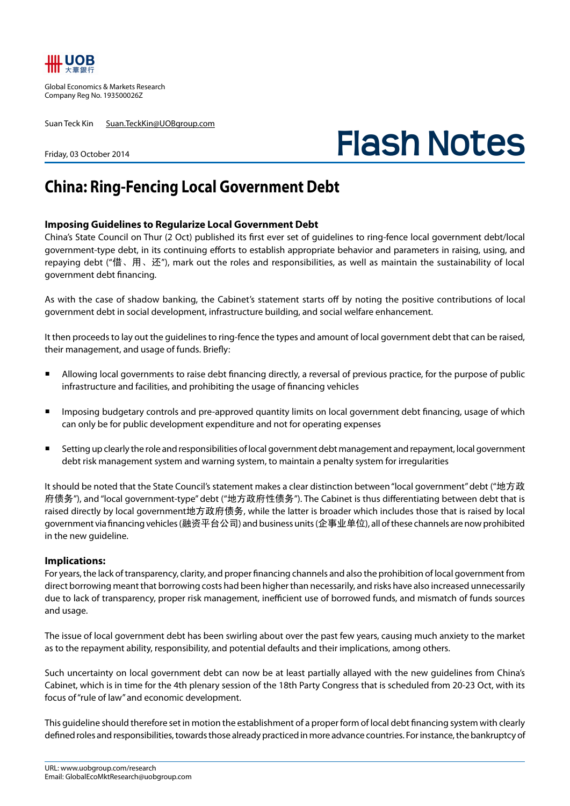

Global Economics & Markets Research Company Reg No. 193500026Z

Suan Teck Kin Suan.TeckKin@UOBgroup.com

Friday, 03 October 2014

## **Flash Notes**

## **China: Ring-Fencing Local Government Debt**

## **Imposing Guidelines to Regularize Local Government Debt**

China's State Council on Thur (2 Oct) published its first ever set of guidelines to ring-fence local government debt/local government-type debt, in its continuing efforts to establish appropriate behavior and parameters in raising, using, and repaying debt ("借、用、还"), mark out the roles and responsibilities, as well as maintain the sustainability of local government debt financing.

As with the case of shadow banking, the Cabinet's statement starts off by noting the positive contributions of local government debt in social development, infrastructure building, and social welfare enhancement.

It then proceeds to lay out the guidelines to ring-fence the types and amount of local government debt that can be raised, their management, and usage of funds. Briefly:

- Allowing local governments to raise debt financing directly, a reversal of previous practice, for the purpose of public infrastructure and facilities, and prohibiting the usage of financing vehicles
- Imposing budgetary controls and pre-approved quantity limits on local government debt financing, usage of which can only be for public development expenditure and not for operating expenses
- Setting up clearly the role and responsibilities of local government debt management and repayment, local government debt risk management system and warning system, to maintain a penalty system for irregularities

It should be noted that the State Council's statement makes a clear distinction between "local government" debt ("地方政 府债务"), and "local government-type" debt ("地方政府性债务"). The Cabinet is thus differentiating between debt that is raised directly by local government地方政府债务, while the latter is broader which includes those that is raised by local government via financing vehicles (融资平台公司) and business units (企事业单位), all of these channels are now prohibited in the new guideline.

## **Implications:**

For years, the lack of transparency, clarity, and proper financing channels and also the prohibition of local government from direct borrowing meant that borrowing costs had been higher than necessarily, and risks have also increased unnecessarily due to lack of transparency, proper risk management, inefficient use of borrowed funds, and mismatch of funds sources and usage.

The issue of local government debt has been swirling about over the past few years, causing much anxiety to the market as to the repayment ability, responsibility, and potential defaults and their implications, among others.

Such uncertainty on local government debt can now be at least partially allayed with the new guidelines from China's Cabinet, which is in time for the 4th plenary session of the 18th Party Congress that is scheduled from 20-23 Oct, with its focus of "rule of law" and economic development.

This guideline should therefore set in motion the establishment of a proper form of local debt financing system with clearly defined roles and responsibilities, towards those already practiced in more advance countries. For instance, the bankruptcy of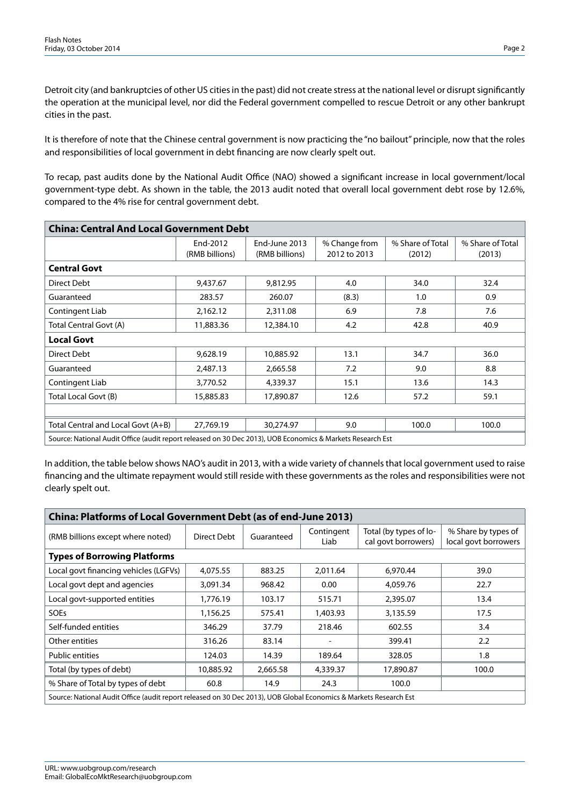Detroit city (and bankruptcies of other US cities in the past) did not create stress at the national level or disrupt significantly the operation at the municipal level, nor did the Federal government compelled to rescue Detroit or any other bankrupt cities in the past.

It is therefore of note that the Chinese central government is now practicing the "no bailout" principle, now that the roles and responsibilities of local government in debt financing are now clearly spelt out.

To recap, past audits done by the National Audit Office (NAO) showed a significant increase in local government/local government-type debt. As shown in the table, the 2013 audit noted that overall local government debt rose by 12.6%, compared to the 4% rise for central government debt.

| <b>China: Central And Local Government Debt</b>                                                            |                            |                                 |                               |                            |                            |  |  |  |  |
|------------------------------------------------------------------------------------------------------------|----------------------------|---------------------------------|-------------------------------|----------------------------|----------------------------|--|--|--|--|
|                                                                                                            | End-2012<br>(RMB billions) | End-June 2013<br>(RMB billions) | % Change from<br>2012 to 2013 | % Share of Total<br>(2012) | % Share of Total<br>(2013) |  |  |  |  |
| <b>Central Govt</b>                                                                                        |                            |                                 |                               |                            |                            |  |  |  |  |
| Direct Debt                                                                                                | 9,437.67                   | 9,812.95                        | 4.0                           | 34.0                       | 32.4                       |  |  |  |  |
| Guaranteed                                                                                                 | 283.57                     | 260.07                          | (8.3)                         | 1.0                        | 0.9                        |  |  |  |  |
| Contingent Liab                                                                                            | 2,162.12                   | 2,311.08                        | 6.9                           | 7.8                        | 7.6                        |  |  |  |  |
| Total Central Govt (A)                                                                                     | 11,883.36                  | 12,384.10                       | 4.2                           | 42.8                       | 40.9                       |  |  |  |  |
| <b>Local Govt</b>                                                                                          |                            |                                 |                               |                            |                            |  |  |  |  |
| Direct Debt                                                                                                | 9,628.19                   | 10,885.92                       | 13.1                          | 34.7                       | 36.0                       |  |  |  |  |
| Guaranteed                                                                                                 | 2,487.13                   | 2,665.58                        | 7.2                           | 9.0                        | 8.8                        |  |  |  |  |
| Contingent Liab                                                                                            | 3,770.52                   | 4,339.37                        | 15.1                          | 13.6                       | 14.3                       |  |  |  |  |
| Total Local Govt (B)                                                                                       | 15,885.83                  | 17,890.87                       | 12.6                          | 57.2                       | 59.1                       |  |  |  |  |
|                                                                                                            |                            |                                 |                               |                            |                            |  |  |  |  |
| Total Central and Local Govt (A+B)                                                                         | 27,769.19                  | 30,274.97                       | 9.0                           | 100.0                      | 100.0                      |  |  |  |  |
| Source: National Audit Office (audit report released on 30 Dec 2013), UOB Economics & Markets Research Est |                            |                                 |                               |                            |                            |  |  |  |  |

In addition, the table below shows NAO's audit in 2013, with a wide variety of channels that local government used to raise financing and the ultimate repayment would still reside with these governments as the roles and responsibilities were not clearly spelt out.

| <b>China: Platforms of Local Government Debt (as of end-June 2013)</b>                                            |             |            |                          |                                               |                                             |  |  |  |  |
|-------------------------------------------------------------------------------------------------------------------|-------------|------------|--------------------------|-----------------------------------------------|---------------------------------------------|--|--|--|--|
| (RMB billions except where noted)                                                                                 | Direct Debt | Guaranteed | Contingent<br>Liab       | Total (by types of lo-<br>cal govt borrowers) | % Share by types of<br>local govt borrowers |  |  |  |  |
| <b>Types of Borrowing Platforms</b>                                                                               |             |            |                          |                                               |                                             |  |  |  |  |
| Local govt financing vehicles (LGFVs)                                                                             | 4,075.55    | 883.25     | 2.011.64                 | 6.970.44                                      | 39.0                                        |  |  |  |  |
| Local govt dept and agencies                                                                                      | 3,091.34    | 968.42     | 0.00                     | 4,059.76                                      | 22.7                                        |  |  |  |  |
| Local govt-supported entities                                                                                     | 1,776.19    | 103.17     | 515.71                   | 2,395.07                                      | 13.4                                        |  |  |  |  |
| <b>SOEs</b>                                                                                                       | 1,156.25    | 575.41     | 1,403.93                 | 3,135.59                                      | 17.5                                        |  |  |  |  |
| Self-funded entities                                                                                              | 346.29      | 37.79      | 218.46                   | 602.55                                        | 3.4                                         |  |  |  |  |
| Other entities                                                                                                    | 316.26      | 83.14      | $\overline{\phantom{a}}$ | 399.41                                        | $2.2\phantom{0}$                            |  |  |  |  |
| <b>Public entities</b>                                                                                            | 124.03      | 14.39      | 189.64                   | 328.05                                        | 1.8                                         |  |  |  |  |
| Total (by types of debt)                                                                                          | 10,885.92   | 2,665.58   | 4,339.37                 | 17,890.87                                     | 100.0                                       |  |  |  |  |
| % Share of Total by types of debt                                                                                 | 60.8        | 14.9       | 24.3                     | 100.0                                         |                                             |  |  |  |  |
| Source: National Audit Office (audit report released on 30 Dec 2013), UOB Global Economics & Markets Research Est |             |            |                          |                                               |                                             |  |  |  |  |